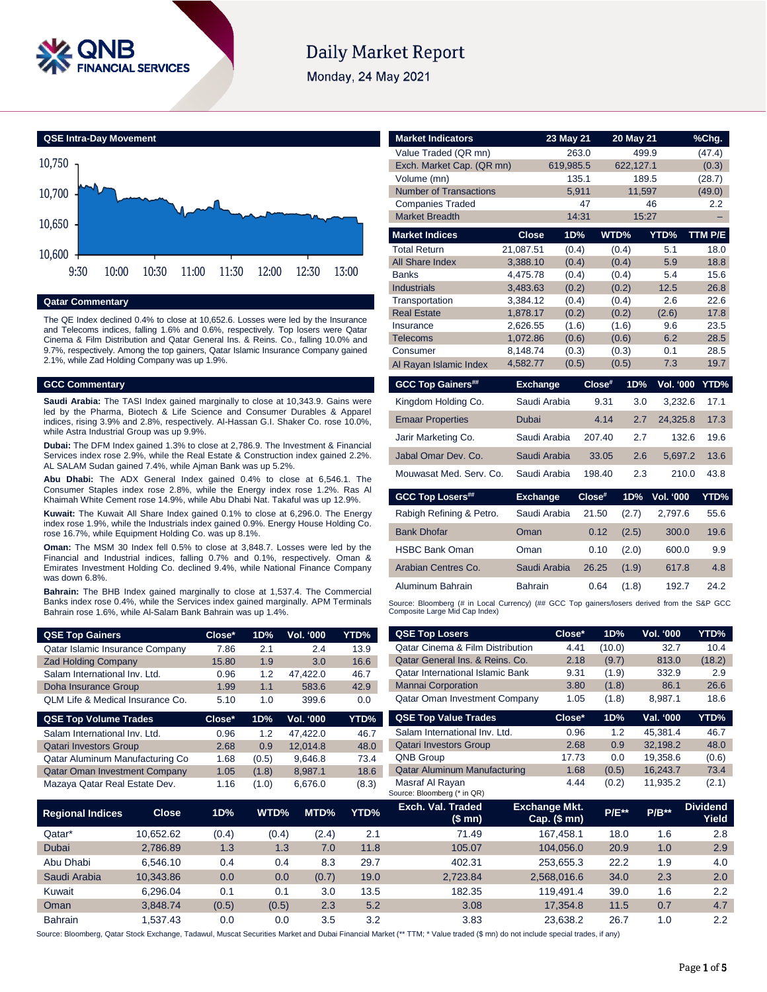

# **Daily Market Report**

Monday, 24 May 2021



#### **Qatar Commentary**

The QE Index declined 0.4% to close at 10,652.6. Losses were led by the Insurance and Telecoms indices, falling 1.6% and 0.6%, respectively. Top losers were Qatar Cinema & Film Distribution and Qatar General Ins. & Reins. Co., falling 10.0% and 9.7%, respectively. Among the top gainers, Qatar Islamic Insurance Company gained 2.1%, while Zad Holding Company was up 1.9%.

#### **GCC Commentary**

**Saudi Arabia:** The TASI Index gained marginally to close at 10,343.9. Gains were led by the Pharma, Biotech & Life Science and Consumer Durables & Apparel indices, rising 3.9% and 2.8%, respectively. Al-Hassan G.I. Shaker Co. rose 10.0%, while Astra Industrial Group was up 9.9%.

**Dubai:** The DFM Index gained 1.3% to close at 2,786.9. The Investment & Financial Services index rose 2.9%, while the Real Estate & Construction index gained 2.2%. AL SALAM Sudan gained 7.4%, while Ajman Bank was up 5.2%.

**Abu Dhabi:** The ADX General Index gained 0.4% to close at 6,546.1. The Consumer Staples index rose 2.8%, while the Energy index rose 1.2%. Ras Al Khaimah White Cement rose 14.9%, while Abu Dhabi Nat. Takaful was up 12.9%.

**Kuwait:** The Kuwait All Share Index gained 0.1% to close at 6,296.0. The Energy index rose 1.9%, while the Industrials index gained 0.9%. Energy House Holding Co. rose 16.7%, while Equipment Holding Co. was up 8.1%.

**Oman:** The MSM 30 Index fell 0.5% to close at 3,848.7. Losses were led by the Financial and Industrial indices, falling 0.7% and 0.1%, respectively. Oman & Emirates Investment Holding Co. declined 9.4%, while National Finance Company was down 6.8%.

**Bahrain:** The BHB Index gained marginally to close at 1,537.4. The Commercial Banks index rose 0.4%, while the Services index gained marginally. APM Terminals Bahrain rose 1.6%, while Al-Salam Bank Bahrain was up 1.4%.

| <b>QSE Top Gainers</b>           | Close* | 1D% | <b>Vol. '000</b> | YTD% |
|----------------------------------|--------|-----|------------------|------|
| Qatar Islamic Insurance Company  | 7.86   | 2.1 | 2.4              | 13.9 |
| <b>Zad Holding Company</b>       | 15.80  | 1.9 | 3.0              | 16.6 |
| Salam International Inv. Ltd.    | 0.96   | 1.2 | 47.422.0         | 46.7 |
| Doha Insurance Group             | 1.99   | 1.1 | 583.6            | 42.9 |
| QLM Life & Medical Insurance Co. | 5.10   | 1.0 | 399.6            | 0.0  |

| <b>QSE Top Volume Trades</b>         | Close* | 1D%   | <b>Vol. '000</b> | YTD%  |
|--------------------------------------|--------|-------|------------------|-------|
| Salam International Inv. Ltd.        | 0.96   | 1.2   | 47.422.0         | 46.7  |
| <b>Qatari Investors Group</b>        | 2.68   | 0.9   | 12.014.8         | 48.0  |
| Qatar Aluminum Manufacturing Co      | 1.68   | (0.5) | 9.646.8          | 73.4  |
| <b>Qatar Oman Investment Company</b> | 1.05   | (1.8) | 8.987.1          | 18.6  |
| Mazaya Qatar Real Estate Dev.        | 1.16   | (1.0) | 6,676.0          | (8.3) |

| <b>Market Indicators</b>                                                                                                      |                      | 23 May 21          |        | 20 May 21          |                  | %Chg.           |
|-------------------------------------------------------------------------------------------------------------------------------|----------------------|--------------------|--------|--------------------|------------------|-----------------|
| Value Traded (QR mn)<br>Exch. Market Cap. (QR mn)                                                                             |                      | 263.0<br>619.985.5 |        | 499.9<br>622.127.1 |                  | (47.4)          |
| Volume (mn)                                                                                                                   |                      | 135.1              |        | 189.5              |                  | (0.3)<br>(28.7) |
| <b>Number of Transactions</b>                                                                                                 |                      | 5.911              |        | 11.597             |                  | (49.0)          |
| <b>Companies Traded</b>                                                                                                       |                      |                    | 47     |                    | 46               | 2.2             |
| <b>Market Breadth</b>                                                                                                         |                      | 14:31              |        | 15:27              |                  | ۳               |
| <b>Market Indices</b>                                                                                                         | <b>Close</b>         | 1D%                |        | WTD%               | YTD%             | TTM P/E         |
| <b>Total Return</b>                                                                                                           | 21,087.51            | (0.4)              |        | (0.4)              | 5.1              | 18.0            |
| <b>All Share Index</b>                                                                                                        | 3,388.10             | (0.4)              |        | (0.4)              | 5.9              | 18.8            |
| <b>Banks</b>                                                                                                                  | 4,475.78             | (0.4)              |        | (0.4)              | 5.4              | 15.6            |
| <b>Industrials</b>                                                                                                            | 3,483.63             | (0.2)              |        | (0.2)              | 12.5             | 26.8            |
| Transportation                                                                                                                | 3,384.12             | (0.4)              |        | (0.4)              | 2.6              | 22.6            |
| <b>Real Estate</b>                                                                                                            | 1,878.17             | (0.2)              |        | (0.2)              | (2.6)            | 17.8            |
| Insurance<br><b>Telecoms</b>                                                                                                  | 2,626.55             | (1.6)              |        | (1.6)              | 9.6<br>6.2       | 23.5<br>28.5    |
| Consumer                                                                                                                      | 1,072.86<br>8,148.74 | (0.6)<br>(0.3)     |        | (0.6)<br>(0.3)     | 0.1              | 28.5            |
| Al Ravan Islamic Index                                                                                                        | 4,582.77             | (0.5)              |        | (0.5)              | 7.3              | 19.7            |
|                                                                                                                               |                      |                    |        |                    |                  |                 |
| <b>GCC Top Gainers##</b>                                                                                                      | <b>Exchange</b>      |                    | Close# | 1D%                | <b>Vol. '000</b> | YTD%            |
| Kingdom Holding Co.                                                                                                           | Saudi Arabia         |                    | 9.31   | 3.0                | 3.232.6          | 17.1            |
| <b>Emaar Properties</b>                                                                                                       | Dubai                |                    | 4.14   | 2.7                | 24,325.8         | 17.3            |
| Jarir Marketing Co.                                                                                                           | Saudi Arabia         |                    | 207.40 | 2.7                | 132.6            | 19.6            |
| Jabal Omar Dev. Co.                                                                                                           | Saudi Arabia         |                    | 33.05  | 2.6                | 5,697.2          | 13.6            |
| Mouwasat Med. Serv. Co.                                                                                                       | Saudi Arabia         |                    | 198.40 | 2.3                | 210.0            | 43.8            |
| <b>GCC Top Losers##</b>                                                                                                       | <b>Exchange</b>      |                    | Close# | 1D%                | <b>Vol. '000</b> | YTD%            |
| Rabigh Refining & Petro.                                                                                                      | Saudi Arabia         |                    | 21.50  | (2.7)              | 2.797.6          | 55.6            |
| <b>Bank Dhofar</b>                                                                                                            | Oman                 |                    | 0.12   | (2.5)              | 300.0            | 19.6            |
| <b>HSBC Bank Oman</b>                                                                                                         | Oman                 |                    | 0.10   | (2.0)              | 600.0            | 9.9             |
| Arabian Centres Co.                                                                                                           | Saudi Arabia         |                    | 26.25  | (1.9)              | 617.8            | 4.8             |
| Aluminum Bahrain                                                                                                              | <b>Bahrain</b>       |                    | 0.64   | (1.8)              | 192.7            | 24.2            |
| Source: Bloomberg (# in Local Currency) (## GCC Top gainers/losers derived from the S&P GCC<br>Composite Large Mid Cap Index) |                      |                    |        |                    |                  |                 |
| <b>QSE Top Losers</b>                                                                                                         |                      | Close*             |        | 1D%                | Vol. '000        | YTD%            |

| <b>QSE Top Gainers</b>                  | Close* | 1D%   | Vol. '000 | YTD%  | <b>QSE Top Losers</b>                          | Close*                                 | 1D%     | Vol. '000 | YTD%                     |
|-----------------------------------------|--------|-------|-----------|-------|------------------------------------------------|----------------------------------------|---------|-----------|--------------------------|
| Qatar Islamic Insurance Company         | 7.86   | 2.1   | 2.4       | 13.9  | <b>Qatar Cinema &amp; Film Distribution</b>    | 4.41                                   | (10.0)  | 32.7      | 10.4                     |
| <b>Zad Holding Company</b>              | 15.80  | 1.9   | 3.0       | 16.6  | Qatar General Ins. & Reins. Co.                | 2.18                                   | (9.7)   | 813.0     | (18.2)                   |
| Salam International Inv. Ltd.           | 0.96   | 1.2   | 47,422.0  | 46.7  | <b>Qatar International Islamic Bank</b>        | 9.31                                   | (1.9)   | 332.9     | 2.9                      |
| Doha Insurance Group                    | 1.99   | 1.1   | 583.6     | 42.9  | <b>Mannai Corporation</b>                      | 3.80                                   | (1.8)   | 86.1      | 26.6                     |
| QLM Life & Medical Insurance Co.        | 5.10   | 1.0   | 399.6     | 0.0   | Qatar Oman Investment Company                  | 1.05                                   | (1.8)   | 8,987.1   | 18.6                     |
| <b>QSE Top Volume Trades</b>            | Close* | 1D%   | Vol. '000 | YTD%  | <b>QSE Top Value Trades</b>                    | Close*                                 | 1D%     | Val. '000 | YTD%                     |
| Salam International Inv. Ltd.           | 0.96   | 1.2   | 47,422.0  | 46.7  | Salam International Inv. Ltd.                  | 0.96                                   | 1.2     | 45,381.4  | 46.7                     |
| <b>Qatari Investors Group</b>           | 2.68   | 0.9   | 12,014.8  | 48.0  | <b>Qatari Investors Group</b>                  | 2.68                                   | 0.9     | 32,198.2  | 48.0                     |
| Qatar Aluminum Manufacturing Co         | 1.68   | (0.5) | 9,646.8   | 73.4  | QNB Group                                      | 17.73                                  | 0.0     | 19,358.6  | (0.6)                    |
| Qatar Oman Investment Company           | 1.05   | (1.8) | 8,987.1   | 18.6  | <b>Qatar Aluminum Manufacturing</b>            | 1.68                                   | (0.5)   | 16,243.7  | 73.4                     |
| Mazaya Qatar Real Estate Dev.           | 1.16   | (1.0) | 6,676.0   | (8.3) | Masraf Al Rayan<br>Source: Bloomberg (* in QR) | 4.44                                   | (0.2)   | 11,935.2  | (2.1)                    |
| <b>Close</b><br><b>Regional Indices</b> | 1D%    | WTD%  | MTD%      | YTD%  | Exch. Val. Traded<br>(\$mn)                    | <b>Exchange Mkt.</b><br>$Cap.$ (\$ mn) | $P/E**$ | $P/B**$   | <b>Dividend</b><br>Yield |
| Qatar*<br>10,652.62                     | (0.4)  | (0.4) | (2.4)     | 2.1   | 71.49                                          | 167,458.1                              | 18.0    | 1.6       | 2.8                      |
| Dubai<br>2,786.89                       | 1.3    | 1.3   | 7.0       | 11.8  | 105.07                                         | 104,056.0                              | 20.9    | 1.0       | 2.9                      |
| Abu Dhabi<br>6,546.10                   | 0.4    | 0.4   | 8.3       | 29.7  | 402.31                                         | 253,655.3                              | 22.2    | 1.9       | 4.0                      |
| Saudi Arabia<br>10,343.86               | 0.0    | 0.0   | (0.7)     | 19.0  | 2,723.84                                       | 2,568,016.6                            | 34.0    | 2.3       | 2.0                      |
| Kuwait<br>6,296.04                      | 0.1    | 0.1   | 3.0       | 13.5  | 182.35                                         | 119,491.4                              | 39.0    | 1.6       | 2.2                      |
| Oman<br>3,848.74                        | (0.5)  | (0.5) | 2.3       | 5.2   | 3.08                                           | 17,354.8                               | 11.5    | 0.7       | 4.7                      |
| <b>Bahrain</b><br>1,537.43              | 0.0    | 0.0   | 3.5       | 3.2   | 3.83                                           | 23,638.2                               | 26.7    | 1.0       | 2.2                      |

Source: Bloomberg, Qatar Stock Exchange, Tadawul, Muscat Securities Market and Dubai Financial Market (\*\* TTM; \* Value traded (\$ mn) do not include special trades, if any)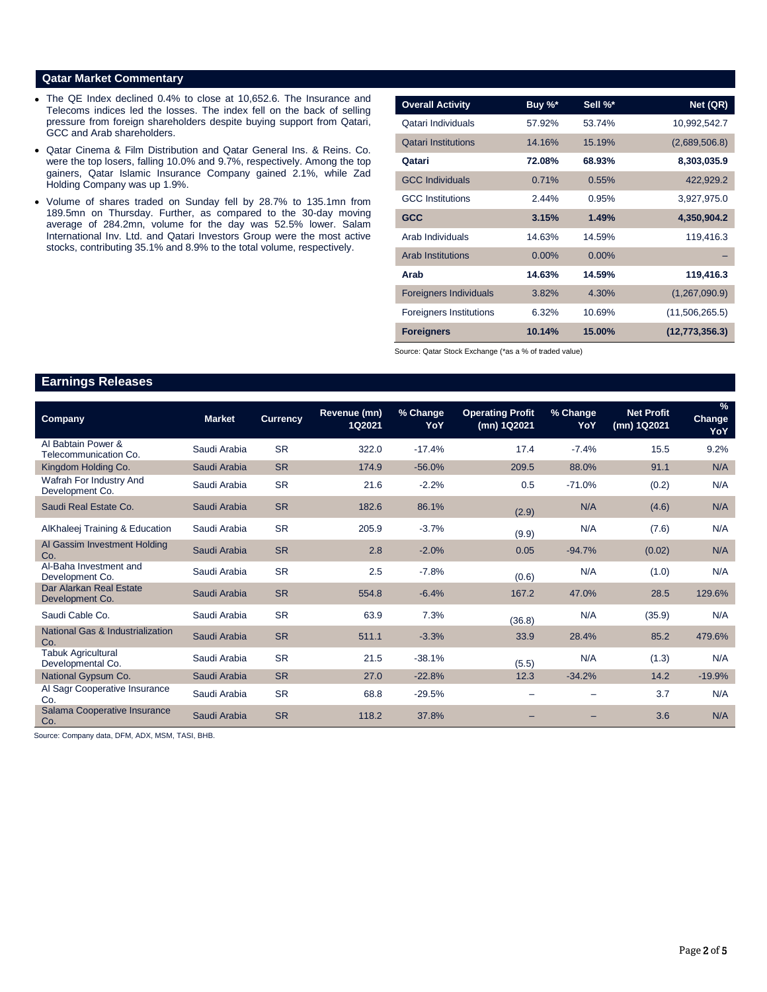### **Qatar Market Commentary**

- The QE Index declined 0.4% to close at 10,652.6. The Insurance and Telecoms indices led the losses. The index fell on the back of selling pressure from foreign shareholders despite buying support from Qatari, GCC and Arab shareholders.
- Qatar Cinema & Film Distribution and Qatar General Ins. & Reins. Co. were the top losers, falling 10.0% and 9.7%, respectively. Among the top gainers, Qatar Islamic Insurance Company gained 2.1%, while Zad Holding Company was up 1.9%.
- Volume of shares traded on Sunday fell by 28.7% to 135.1mn from 189.5mn on Thursday. Further, as compared to the 30-day moving average of 284.2mn, volume for the day was 52.5% lower. Salam International Inv. Ltd. and Qatari Investors Group were the most active stocks, contributing 35.1% and 8.9% to the total volume, respectively.

| <b>Overall Activity</b>        | Buy %*   | Sell %*  | Net (QR)         |
|--------------------------------|----------|----------|------------------|
| Qatari Individuals             | 57.92%   | 53.74%   | 10,992,542.7     |
| <b>Qatari Institutions</b>     | 14.16%   | 15.19%   | (2,689,506.8)    |
| Qatari                         | 72.08%   | 68.93%   | 8,303,035.9      |
| <b>GCC Individuals</b>         | 0.71%    | 0.55%    | 422,929.2        |
| <b>GCC</b> Institutions        | 2.44%    | 0.95%    | 3,927,975.0      |
| <b>GCC</b>                     | 3.15%    | 1.49%    | 4,350,904.2      |
| Arab Individuals               | 14.63%   | 14.59%   | 119,416.3        |
| <b>Arab Institutions</b>       | $0.00\%$ | $0.00\%$ |                  |
| Arab                           | 14.63%   | 14.59%   | 119,416.3        |
| <b>Foreigners Individuals</b>  | 3.82%    | 4.30%    | (1,267,090.9)    |
| <b>Foreigners Institutions</b> | 6.32%    | 10.69%   | (11,506,265.5)   |
| <b>Foreigners</b>              | 10.14%   | 15.00%   | (12, 773, 356.3) |

Source: Qatar Stock Exchange (\*as a % of traded value)

# **Earnings Releases**

| <b>Company</b>                                 | <b>Market</b> | <b>Currency</b> | Revenue (mn)<br>1Q2021 | % Change<br>YoY | <b>Operating Profit</b><br>(mn) 1Q2021 | % Change<br>YoY | <b>Net Profit</b><br>(mn) 1Q2021 | $\frac{9}{6}$<br><b>Change</b><br>YoY |
|------------------------------------------------|---------------|-----------------|------------------------|-----------------|----------------------------------------|-----------------|----------------------------------|---------------------------------------|
| Al Babtain Power &<br>Telecommunication Co.    | Saudi Arabia  | <b>SR</b>       | 322.0                  | $-17.4%$        | 17.4                                   | $-7.4%$         | 15.5                             | 9.2%                                  |
| Kingdom Holding Co.                            | Saudi Arabia  | <b>SR</b>       | 174.9                  | $-56.0%$        | 209.5                                  | 88.0%           | 91.1                             | N/A                                   |
| Wafrah For Industry And<br>Development Co.     | Saudi Arabia  | <b>SR</b>       | 21.6                   | $-2.2%$         | 0.5                                    | $-71.0%$        | (0.2)                            | N/A                                   |
| Saudi Real Estate Co.                          | Saudi Arabia  | <b>SR</b>       | 182.6                  | 86.1%           | (2.9)                                  | N/A             | (4.6)                            | N/A                                   |
| AlKhaleej Training & Education                 | Saudi Arabia  | <b>SR</b>       | 205.9                  | $-3.7%$         | (9.9)                                  | N/A             | (7.6)                            | N/A                                   |
| Al Gassim Investment Holding<br>Co.            | Saudi Arabia  | <b>SR</b>       | 2.8                    | $-2.0%$         | 0.05                                   | $-94.7%$        | (0.02)                           | N/A                                   |
| Al-Baha Investment and<br>Development Co.      | Saudi Arabia  | <b>SR</b>       | 2.5                    | $-7.8%$         | (0.6)                                  | N/A             | (1.0)                            | N/A                                   |
| Dar Alarkan Real Estate<br>Development Co.     | Saudi Arabia  | <b>SR</b>       | 554.8                  | $-6.4%$         | 167.2                                  | 47.0%           | 28.5                             | 129.6%                                |
| Saudi Cable Co.                                | Saudi Arabia  | <b>SR</b>       | 63.9                   | 7.3%            | (36.8)                                 | N/A             | (35.9)                           | N/A                                   |
| National Gas & Industrialization<br>Co.        | Saudi Arabia  | <b>SR</b>       | 511.1                  | $-3.3%$         | 33.9                                   | 28.4%           | 85.2                             | 479.6%                                |
| <b>Tabuk Agricultural</b><br>Developmental Co. | Saudi Arabia  | <b>SR</b>       | 21.5                   | $-38.1%$        | (5.5)                                  | N/A             | (1.3)                            | N/A                                   |
| National Gypsum Co.                            | Saudi Arabia  | <b>SR</b>       | 27.0                   | $-22.8%$        | 12.3                                   | $-34.2%$        | 14.2                             | $-19.9%$                              |
| Al Sagr Cooperative Insurance<br>Co.           | Saudi Arabia  | <b>SR</b>       | 68.8                   | $-29.5%$        |                                        |                 | 3.7                              | N/A                                   |
| Salama Cooperative Insurance<br>Co.            | Saudi Arabia  | <b>SR</b>       | 118.2                  | 37.8%           |                                        |                 | 3.6                              | N/A                                   |

Source: Company data, DFM, ADX, MSM, TASI, BHB.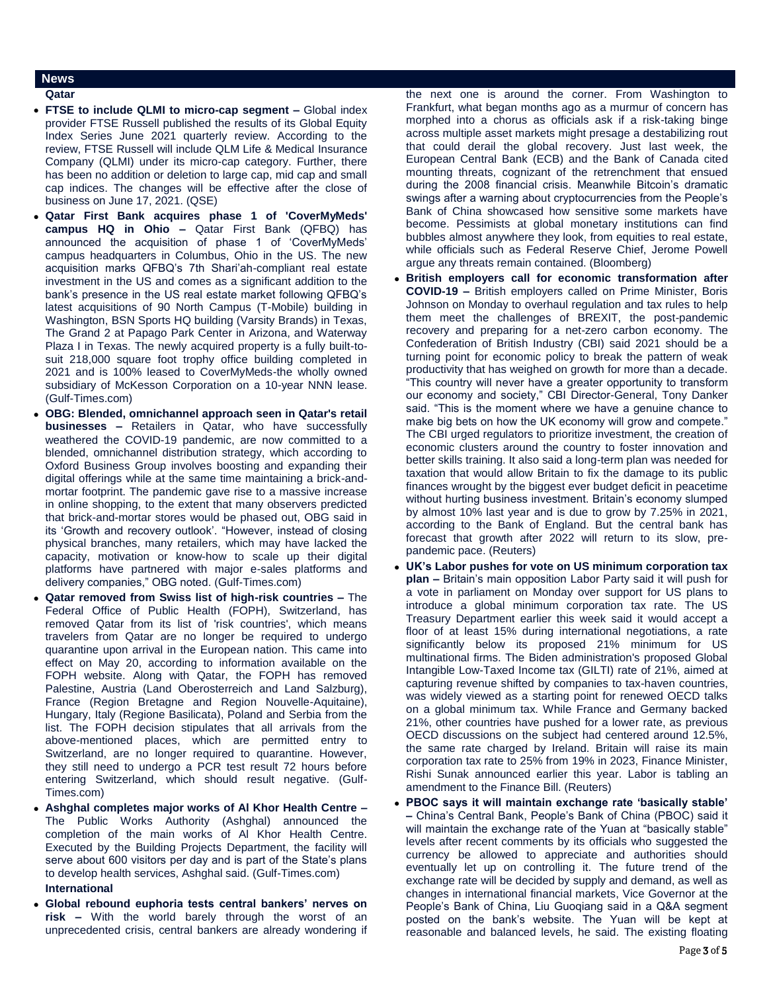# **News**

### **Qatar**

- **FTSE to include QLMI to micro-cap segment –** Global index provider FTSE Russell published the results of its Global Equity Index Series June 2021 quarterly review. According to the review, FTSE Russell will include QLM Life & Medical Insurance Company (QLMI) under its micro-cap category. Further, there has been no addition or deletion to large cap, mid cap and small cap indices. The changes will be effective after the close of business on June 17, 2021. (QSE)
- **Qatar First Bank acquires phase 1 of 'CoverMyMeds' campus HQ in Ohio –** Qatar First Bank (QFBQ) has announced the acquisition of phase 1 of 'CoverMyMeds' campus headquarters in Columbus, Ohio in the US. The new acquisition marks QFBQ's 7th Shari'ah-compliant real estate investment in the US and comes as a significant addition to the bank's presence in the US real estate market following QFBQ's latest acquisitions of 90 North Campus (T-Mobile) building in Washington, BSN Sports HQ building (Varsity Brands) in Texas, The Grand 2 at Papago Park Center in Arizona, and Waterway Plaza I in Texas. The newly acquired property is a fully built-tosuit 218,000 square foot trophy office building completed in 2021 and is 100% leased to CoverMyMeds-the wholly owned subsidiary of McKesson Corporation on a 10-year NNN lease. (Gulf-Times.com)
- **OBG: Blended, omnichannel approach seen in Qatar's retail businesses –** Retailers in Qatar, who have successfully weathered the COVID-19 pandemic, are now committed to a blended, omnichannel distribution strategy, which according to Oxford Business Group involves boosting and expanding their digital offerings while at the same time maintaining a brick-andmortar footprint. The pandemic gave rise to a massive increase in online shopping, to the extent that many observers predicted that brick-and-mortar stores would be phased out, OBG said in its 'Growth and recovery outlook'. "However, instead of closing physical branches, many retailers, which may have lacked the capacity, motivation or know-how to scale up their digital platforms have partnered with major e-sales platforms and delivery companies," OBG noted. (Gulf-Times.com)
- **Qatar removed from Swiss list of high-risk countries –** The Federal Office of Public Health (FOPH), Switzerland, has removed Qatar from its list of 'risk countries', which means travelers from Qatar are no longer be required to undergo quarantine upon arrival in the European nation. This came into effect on May 20, according to information available on the FOPH website. Along with Qatar, the FOPH has removed Palestine, Austria (Land Oberosterreich and Land Salzburg), France (Region Bretagne and Region Nouvelle-Aquitaine), Hungary, Italy (Regione Basilicata), Poland and Serbia from the list. The FOPH decision stipulates that all arrivals from the above-mentioned places, which are permitted entry to Switzerland, are no longer required to quarantine. However, they still need to undergo a PCR test result 72 hours before entering Switzerland, which should result negative. (Gulf-Times.com)
- **Ashghal completes major works of Al Khor Health Centre –** The Public Works Authority (Ashghal) announced the completion of the main works of Al Khor Health Centre. Executed by the Building Projects Department, the facility will serve about 600 visitors per day and is part of the State's plans to develop health services, Ashghal said. (Gulf-Times.com) **International**
- **Global rebound euphoria tests central bankers' nerves on risk –** With the world barely through the worst of an unprecedented crisis, central bankers are already wondering if

the next one is around the corner. From Washington to Frankfurt, what began months ago as a murmur of concern has morphed into a chorus as officials ask if a risk-taking binge across multiple asset markets might presage a destabilizing rout that could derail the global recovery. Just last week, the European Central Bank (ECB) and the Bank of Canada cited mounting threats, cognizant of the retrenchment that ensued during the 2008 financial crisis. Meanwhile Bitcoin's dramatic swings after a warning about cryptocurrencies from the People's Bank of China showcased how sensitive some markets have become. Pessimists at global monetary institutions can find bubbles almost anywhere they look, from equities to real estate, while officials such as Federal Reserve Chief, Jerome Powell argue any threats remain contained. (Bloomberg)

- **British employers call for economic transformation after COVID-19 –** British employers called on Prime Minister, Boris Johnson on Monday to overhaul regulation and tax rules to help them meet the challenges of BREXIT, the post-pandemic recovery and preparing for a net-zero carbon economy. The Confederation of British Industry (CBI) said 2021 should be a turning point for economic policy to break the pattern of weak productivity that has weighed on growth for more than a decade. "This country will never have a greater opportunity to transform our economy and society," CBI Director-General, Tony Danker said. "This is the moment where we have a genuine chance to make big bets on how the UK economy will grow and compete." The CBI urged regulators to prioritize investment, the creation of economic clusters around the country to foster innovation and better skills training. It also said a long-term plan was needed for taxation that would allow Britain to fix the damage to its public finances wrought by the biggest ever budget deficit in peacetime without hurting business investment. Britain's economy slumped by almost 10% last year and is due to grow by 7.25% in 2021, according to the Bank of England. But the central bank has forecast that growth after 2022 will return to its slow, prepandemic pace. (Reuters)
- **UK's Labor pushes for vote on US minimum corporation tax plan –** Britain's main opposition Labor Party said it will push for a vote in parliament on Monday over support for US plans to introduce a global minimum corporation tax rate. The US Treasury Department earlier this week said it would accept a floor of at least 15% during international negotiations, a rate significantly below its proposed 21% minimum for US multinational firms. The Biden administration's proposed Global Intangible Low-Taxed Income tax (GILTI) rate of 21%, aimed at capturing revenue shifted by companies to tax-haven countries, was widely viewed as a starting point for renewed OECD talks on a global minimum tax. While France and Germany backed 21%, other countries have pushed for a lower rate, as previous OECD discussions on the subject had centered around 12.5%, the same rate charged by Ireland. Britain will raise its main corporation tax rate to 25% from 19% in 2023, Finance Minister, Rishi Sunak announced earlier this year. Labor is tabling an amendment to the Finance Bill. (Reuters)
- **PBOC says it will maintain exchange rate 'basically stable' –** China's Central Bank, People's Bank of China (PBOC) said it will maintain the exchange rate of the Yuan at "basically stable" levels after recent comments by its officials who suggested the currency be allowed to appreciate and authorities should eventually let up on controlling it. The future trend of the exchange rate will be decided by supply and demand, as well as changes in international financial markets, Vice Governor at the People's Bank of China, Liu Guoqiang said in a Q&A segment posted on the bank's website. The Yuan will be kept at reasonable and balanced levels, he said. The existing floating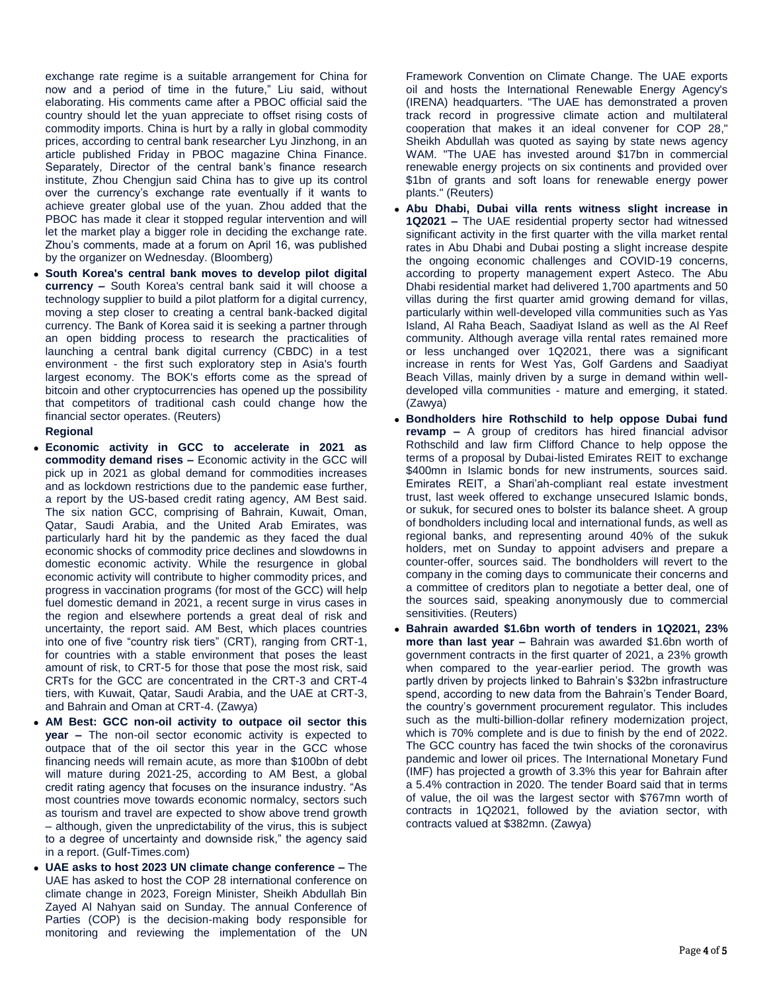exchange rate regime is a suitable arrangement for China for now and a period of time in the future," Liu said, without elaborating. His comments came after a PBOC official said the country should let the yuan appreciate to offset rising costs of commodity imports. China is hurt by a rally in global commodity prices, according to central bank researcher Lyu Jinzhong, in an article published Friday in PBOC magazine China Finance. Separately, Director of the central bank's finance research institute, Zhou Chengjun said China has to give up its control over the currency's exchange rate eventually if it wants to achieve greater global use of the yuan. Zhou added that the PBOC has made it clear it stopped regular intervention and will let the market play a bigger role in deciding the exchange rate. Zhou's comments, made at a forum on April 16, was published by the organizer on Wednesday. (Bloomberg)

 **South Korea's central bank moves to develop pilot digital currency –** South Korea's central bank said it will choose a technology supplier to build a pilot platform for a digital currency, moving a step closer to creating a central bank-backed digital currency. The Bank of Korea said it is seeking a partner through an open bidding process to research the practicalities of launching a central bank digital currency (CBDC) in a test environment - the first such exploratory step in Asia's fourth largest economy. The BOK's efforts come as the spread of bitcoin and other cryptocurrencies has opened up the possibility that competitors of traditional cash could change how the financial sector operates. (Reuters)

### **Regional**

- **Economic activity in GCC to accelerate in 2021 as commodity demand rises –** Economic activity in the GCC will pick up in 2021 as global demand for commodities increases and as lockdown restrictions due to the pandemic ease further, a report by the US-based credit rating agency, AM Best said. The six nation GCC, comprising of Bahrain, Kuwait, Oman, Qatar, Saudi Arabia, and the United Arab Emirates, was particularly hard hit by the pandemic as they faced the dual economic shocks of commodity price declines and slowdowns in domestic economic activity. While the resurgence in global economic activity will contribute to higher commodity prices, and progress in vaccination programs (for most of the GCC) will help fuel domestic demand in 2021, a recent surge in virus cases in the region and elsewhere portends a great deal of risk and uncertainty, the report said. AM Best, which places countries into one of five "country risk tiers" (CRT), ranging from CRT-1, for countries with a stable environment that poses the least amount of risk, to CRT-5 for those that pose the most risk, said CRTs for the GCC are concentrated in the CRT-3 and CRT-4 tiers, with Kuwait, Qatar, Saudi Arabia, and the UAE at CRT-3, and Bahrain and Oman at CRT-4. (Zawya)
- **AM Best: GCC non-oil activity to outpace oil sector this year –** The non-oil sector economic activity is expected to outpace that of the oil sector this year in the GCC whose financing needs will remain acute, as more than \$100bn of debt will mature during 2021-25, according to AM Best, a global credit rating agency that focuses on the insurance industry. "As most countries move towards economic normalcy, sectors such as tourism and travel are expected to show above trend growth – although, given the unpredictability of the virus, this is subject to a degree of uncertainty and downside risk," the agency said in a report. (Gulf-Times.com)
- **UAE asks to host 2023 UN climate change conference –** The UAE has asked to host the COP 28 international conference on climate change in 2023, Foreign Minister, Sheikh Abdullah Bin Zayed Al Nahyan said on Sunday. The annual Conference of Parties (COP) is the decision-making body responsible for monitoring and reviewing the implementation of the UN

Framework Convention on Climate Change. The UAE exports oil and hosts the International Renewable Energy Agency's (IRENA) headquarters. "The UAE has demonstrated a proven track record in progressive climate action and multilateral cooperation that makes it an ideal convener for COP 28," Sheikh Abdullah was quoted as saying by state news agency WAM. "The UAE has invested around \$17bn in commercial renewable energy projects on six continents and provided over \$1bn of grants and soft loans for renewable energy power plants." (Reuters)

- **Abu Dhabi, Dubai villa rents witness slight increase in 1Q2021 –** The UAE residential property sector had witnessed significant activity in the first quarter with the villa market rental rates in Abu Dhabi and Dubai posting a slight increase despite the ongoing economic challenges and COVID-19 concerns, according to property management expert Asteco. The Abu Dhabi residential market had delivered 1,700 apartments and 50 villas during the first quarter amid growing demand for villas, particularly within well-developed villa communities such as Yas Island, Al Raha Beach, Saadiyat Island as well as the Al Reef community. Although average villa rental rates remained more or less unchanged over 1Q2021, there was a significant increase in rents for West Yas, Golf Gardens and Saadiyat Beach Villas, mainly driven by a surge in demand within welldeveloped villa communities - mature and emerging, it stated. (Zawya)
- **Bondholders hire Rothschild to help oppose Dubai fund revamp –** A group of creditors has hired financial advisor Rothschild and law firm Clifford Chance to help oppose the terms of a proposal by Dubai-listed Emirates REIT to exchange \$400mn in Islamic bonds for new instruments, sources said. Emirates REIT, a Shari'ah-compliant real estate investment trust, last week offered to exchange unsecured Islamic bonds, or sukuk, for secured ones to bolster its balance sheet. A group of bondholders including local and international funds, as well as regional banks, and representing around 40% of the sukuk holders, met on Sunday to appoint advisers and prepare a counter-offer, sources said. The bondholders will revert to the company in the coming days to communicate their concerns and a committee of creditors plan to negotiate a better deal, one of the sources said, speaking anonymously due to commercial sensitivities. (Reuters)
- **Bahrain awarded \$1.6bn worth of tenders in 1Q2021, 23% more than last year –** Bahrain was awarded \$1.6bn worth of government contracts in the first quarter of 2021, a 23% growth when compared to the year-earlier period. The growth was partly driven by projects linked to Bahrain's \$32bn infrastructure spend, according to new data from the Bahrain's Tender Board, the country's government procurement regulator. This includes such as the multi-billion-dollar refinery modernization project, which is 70% complete and is due to finish by the end of 2022. The GCC country has faced the twin shocks of the coronavirus pandemic and lower oil prices. The International Monetary Fund (IMF) has projected a growth of 3.3% this year for Bahrain after a 5.4% contraction in 2020. The tender Board said that in terms of value, the oil was the largest sector with \$767mn worth of contracts in 1Q2021, followed by the aviation sector, with contracts valued at \$382mn. (Zawya)